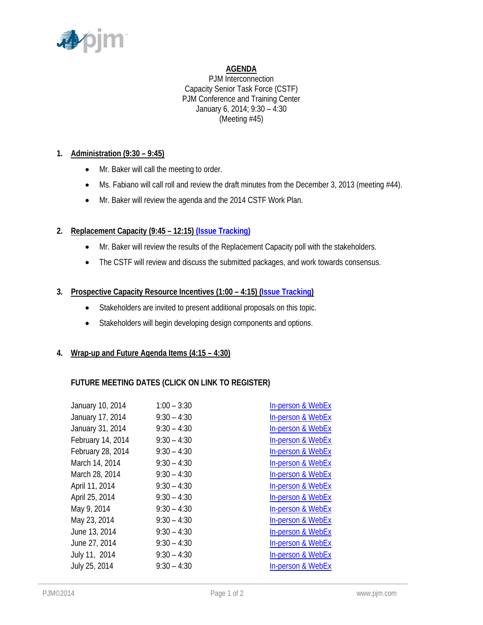

# **AGENDA**

PJM Interconnection Capacity Senior Task Force (CSTF) PJM Conference and Training Center January 6, 2014; 9:30 – 4:30 (Meeting #45)

## **1. Administration (9:30 – 9:45)**

- Mr. Baker will call the meeting to order.
- Ms. Fabiano will call roll and review the draft minutes from the December 3, 2013 (meeting #44).
- Mr. Baker will review the agenda and the 2014 CSTF Work Plan.

# **2. Replacement Capacity (9:45 – 12:15) [\(Issue Tracking\)](http://www.pjm.com/committees-and-groups/issue-tracking/issue-tracking-details.aspx?Issue=%7b0D0E7DC9-432E-4207-B27D-9EF7D07ADC25%7d)**

- Mr. Baker will review the results of the Replacement Capacity poll with the stakeholders.
- The CSTF will review and discuss the submitted packages, and work towards consensus.

## **3. Prospective Capacity Resource Incentives (1:00 – 4:15) [\(Issue Tracking\)](http://www.pjm.com/committees-and-groups/issue-tracking/issue-tracking-details.aspx?Issue=%7b17CAFB58-FB6D-45E0-B424-BF82DE3E44A1%7d)**

- Stakeholders are invited to present additional proposals on this topic.
- Stakeholders will begin developing design components and options.

### **4. Wrap-up and Future Agenda Items (4:15 – 4:30)**

### **FUTURE MEETING DATES (CLICK ON LINK TO REGISTER)**

| $1:00 - 3:30$ | In-person & WebEx            |
|---------------|------------------------------|
| $9:30 - 4:30$ | In-person & WebEx            |
| $9:30 - 4:30$ | In-person & WebEx            |
| $9:30 - 4:30$ | In-person & WebEx            |
| $9:30 - 4:30$ | In-person & WebEx            |
| $9:30 - 4:30$ | In-person & WebEx            |
| $9:30 - 4:30$ | In-person & WebEx            |
| $9:30 - 4:30$ | In-person & WebEx            |
| $9:30 - 4:30$ | In-person & WebEx            |
| $9:30 - 4:30$ | <b>In-person &amp; WebEx</b> |
| $9:30 - 4:30$ | In-person & WebEx            |
| $9:30 - 4:30$ | In-person & WebEx            |
| $9:30 - 4:30$ | In-person & WebEx            |
| $9:30 - 4:30$ | In-person & WebEx            |
| $9:30 - 4:30$ | In-person & WebEx            |
|               |                              |